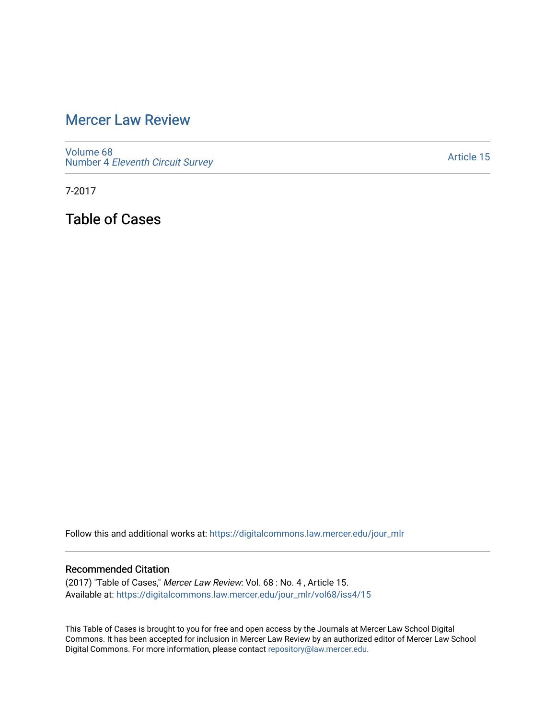## [Mercer Law Review](https://digitalcommons.law.mercer.edu/jour_mlr)

[Volume 68](https://digitalcommons.law.mercer.edu/jour_mlr/vol68) Number 4 [Eleventh Circuit Survey](https://digitalcommons.law.mercer.edu/jour_mlr/vol68/iss4) 

[Article 15](https://digitalcommons.law.mercer.edu/jour_mlr/vol68/iss4/15) 

7-2017

Table of Cases

Follow this and additional works at: [https://digitalcommons.law.mercer.edu/jour\\_mlr](https://digitalcommons.law.mercer.edu/jour_mlr?utm_source=digitalcommons.law.mercer.edu%2Fjour_mlr%2Fvol68%2Fiss4%2F15&utm_medium=PDF&utm_campaign=PDFCoverPages)

## Recommended Citation

(2017) "Table of Cases," Mercer Law Review: Vol. 68 : No. 4 , Article 15. Available at: [https://digitalcommons.law.mercer.edu/jour\\_mlr/vol68/iss4/15](https://digitalcommons.law.mercer.edu/jour_mlr/vol68/iss4/15?utm_source=digitalcommons.law.mercer.edu%2Fjour_mlr%2Fvol68%2Fiss4%2F15&utm_medium=PDF&utm_campaign=PDFCoverPages) 

This Table of Cases is brought to you for free and open access by the Journals at Mercer Law School Digital Commons. It has been accepted for inclusion in Mercer Law Review by an authorized editor of Mercer Law School Digital Commons. For more information, please contact [repository@law.mercer.edu](mailto:repository@law.mercer.edu).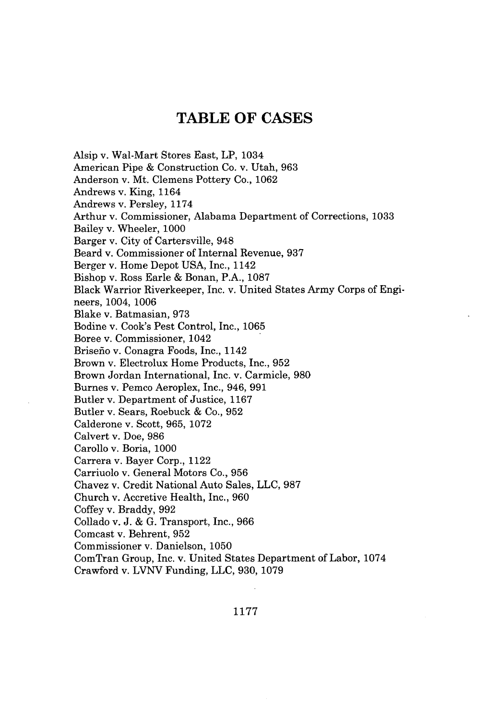## **TABLE OF CASES**

Alsip v. Wal-Mart Stores East, LP, 1034 American Pipe **&** Construction Co. v. Utah, **963** Anderson v. Mt. Clemens Pottery Co., **1062** Andrews v. King, 1164 Andrews v. Persley, **1174** Arthur v. Commissioner, Alabama Department of Corrections, **1033** Bailey v. Wheeler, **1000** Barger v. City of Cartersville, 948 Beard v. Commissioner of Internal Revenue, **937** Berger v. Home Depot **USA,** Inc., 1142 Bishop v. Ross Earle **&** Bonan, P.A., **1087** Black Warrior Riverkeeper, Inc. v. United States Army Corps of Engineers, 1004, **1006** Blake v. Batmasian, **973** Bodine v. Cook's Pest Control, Inc., **1065** Boree v. Commissioner, 1042 Brisefio v. Conagra Foods, Inc., 1142 Brown v. Electrolux Home Products, Inc., **952** Brown Jordan International, Inc. v. Carmicle, **980** Burnes v. Pemco Aeroplex, Inc., 946, **991** Butler v. Department of Justice, **1167** Butler v. Sears, Roebuck **&** Co., **952** Calderone v. Scott, **965, 1072** Calvert v. Doe, **986** Carollo v. Boria, **1000** Carrera v. Bayer Corp., 1122 Carriuolo v. General Motors Co., **956** Chavez v. Credit National Auto Sales, **LLC, 987** Church v. Accretive Health, Inc., **960** Coffey v. Braddy, **992** Collado v. **J. & G.** Transport, Inc., **966** Comcast v. Behrent, **952** Commissioner v. Danielson, **1050** ComTran Group, Inc. v. United States Department of Labor, 1074 Crawford v. **LVNV** Funding, **LLC, 930, 1079**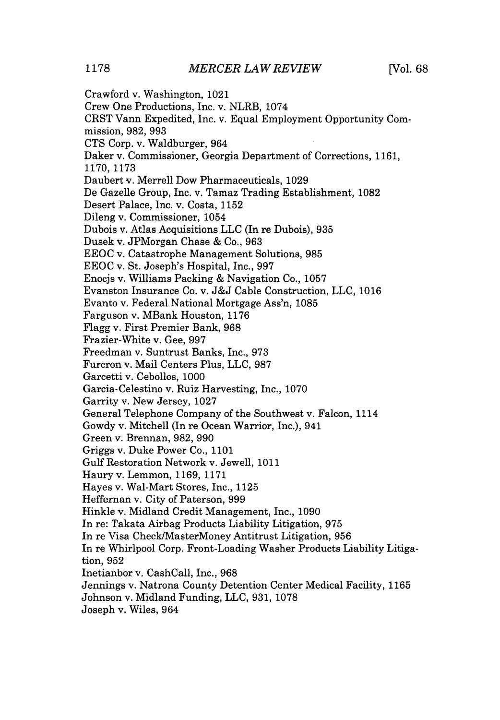Crawford v. Washington, 1021 Crew One Productions, Inc. v. NLRB, 1074 CRST Vann Expedited, Inc. v. Equal Employment Opportunity Commission, **982, 993 CTS** Corp. v. Waldburger, 964 Daker v. Commissioner, Georgia Department of Corrections, **1161, 1170, 1173** Daubert v. Merrell Dow Pharmaceuticals, **1029** De Gazelle Group, Inc. v. Tamaz Trading Establishment, **1082** Desert Palace, Inc. v. Costa, **1152** Dileng v. Commissioner, 1054 Dubois v. Atlas Acquisitions **LLC** (In re Dubois), **935** Dusek v. JPMorgan Chase **&** Co., **963 EEOC** v. Catastrophe Management Solutions, **985 EEOC** v. St. Joseph's Hospital, Inc., **997** Enocjs v. Williams Packing **&** Navigation Co., **1057** Evanston Insurance Co. v. **J&J** Cable Construction, **LLC, 1016** Evanto v. Federal National Mortgage Ass'n, **1085** Farguson v. MBank Houston, **1176** Flagg v. First Premier Bank, **968** Frazier-White v. Gee, **997** Freedman v. Suntrust Banks, Inc., **973** Furcron v. Mail Centers Plus, **LLC, 987** Garcetti v. Cebollos, **1000** Garcia-Celestino v. Ruiz Harvesting, Inc., **1070** Garrity v. New Jersey, **1027** General Telephone Company of the Southwest v. Falcon, 1114 Gowdy v. Mitchell (In re Ocean Warrior, Inc.), 941 Green v. Brennan, **982, 990** Griggs v. Duke Power Co., **1101** Gulf Restoration Network v. Jewell, **1011** Haury v. Lemmon, **1169, 1171** Hayes v. Wal-Mart Stores, Inc., **1125** Heffernan v. City of Paterson, **999** Hinkle v. Midland Credit Management, Inc., **1090** In re: Takata Airbag Products Liability Litigation, **975** In re Visa Check/MasterMoney Antitrust Litigation, **956** In re Whirlpool Corp. Front-Loading Washer Products Liability Litigation, **952** Inetianbor v. CashCall, Inc., **968** Jennings v. Natrona County Detention Center Medical Facility, **1165** Johnson v. Midland Funding, **LLC, 931, 1078** Joseph v. Wiles, 964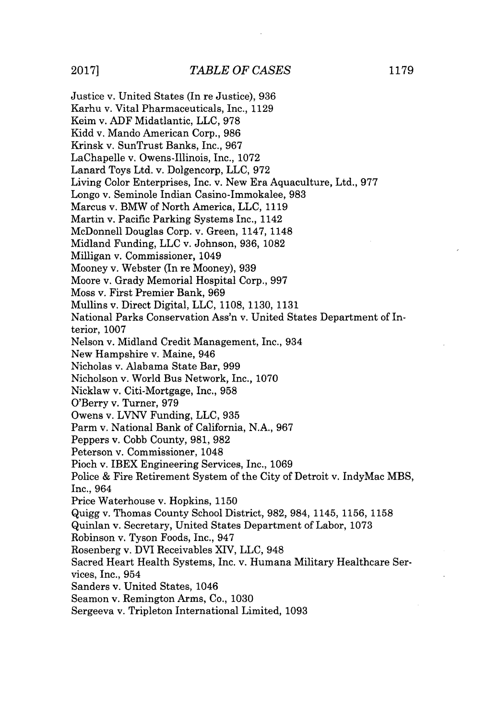Justice v. United States (In re Justice), **936** Karhu v. Vital Pharmaceuticals, Inc., **1129** Keim v. **ADF** Midatlantic, **LLC, 978** Kidd v. Mando American Corp., **986** Krinsk v. SunTrust Banks, Inc., **967** LaChapelle v. Owens-Illinois, Inc., **1072** Lanard Toys Ltd. v. Dolgencorp, **LLC, 972** Living Color Enterprises, Inc. v. New Era Aquaculture, Ltd., **977** Longo v. Seminole Indian Casino-Immokalee, **983** Marcus v. BMW of North America, **LLC, 1119** Martin v. Pacific Parking Systems Inc., 1142 McDonnell Douglas Corp. v. Green, 1147, 1148 Midland Funding, **LLC** v. Johnson, **936, 1082** Milligan v. Commissioner, 1049 Mooney v. Webster (In re Mooney), **939** Moore v. Grady Memorial Hospital Corp., **997** Moss v. First Premier Bank, **969** Mullins v. Direct Digital, **LLC, 1108, 1130, 1131** National Parks Conservation Ass'n v. United States Department of Interior, **1007** Nelson v. Midland Credit Management, Inc., 934 New Hampshire v. Maine, 946 Nicholas v. Alabama State Bar, **999** Nicholson v. World Bus Network, Inc., **1070** Nicklaw v. Citi-Mortgage, Inc., **958** O'Berry v. Turner, **979** Owens v. **LVNV** Funding, **LLC, 935** Parm v. National Bank of California, **N.A., 967** Peppers v. Cobb County, **981, 982** Peterson v. Commissioner, 1048 Pioch v. IBEX Engineering Services, Inc., **1069** Police **&** Fire Retirement System of the City of Detroit v. IndyMac MBS, Inc., 964 Price Waterhouse v. Hopkins, **1150** Quigg v. Thomas County School District, **982,** 984, 1145, **1156, 1158** Quinlan v. Secretary, United States Department of Labor, **1073** Robinson v. Tyson Foods, Inc., 947 Rosenberg v. DVI Receivables XIV, **LLC,** 948 Sacred Heart Health Systems, Inc. v. Humana Military Healthcare Services, Inc., 954 Sanders v. United States, 1046 Seamon v. Remington Arms, Co., **1030** Sergeeva v. Tripleton International Limited, **1093**